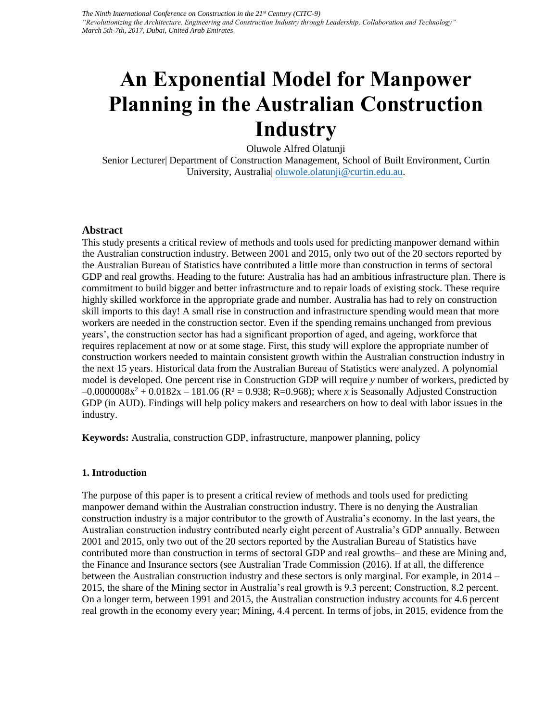# **An Exponential Model for Manpower Planning in the Australian Construction Industry**

Oluwole Alfred Olatunji

Senior Lecturer| Department of Construction Management, School of Built Environment, Curtin University, Australia[| oluwole.olatunji@curtin.edu.au.](mailto:oluwole.olatunji@curtin.edu.au)

## **Abstract**

This study presents a critical review of methods and tools used for predicting manpower demand within the Australian construction industry. Between 2001 and 2015, only two out of the 20 sectors reported by the Australian Bureau of Statistics have contributed a little more than construction in terms of sectoral GDP and real growths. Heading to the future: Australia has had an ambitious infrastructure plan. There is commitment to build bigger and better infrastructure and to repair loads of existing stock. These require highly skilled workforce in the appropriate grade and number. Australia has had to rely on construction skill imports to this day! A small rise in construction and infrastructure spending would mean that more workers are needed in the construction sector. Even if the spending remains unchanged from previous years', the construction sector has had a significant proportion of aged, and ageing, workforce that requires replacement at now or at some stage. First, this study will explore the appropriate number of construction workers needed to maintain consistent growth within the Australian construction industry in the next 15 years. Historical data from the Australian Bureau of Statistics were analyzed. A polynomial model is developed. One percent rise in Construction GDP will require *y* number of workers, predicted by  $-0.0000008x^2 + 0.0182x - 181.06$  (R<sup>2</sup> = 0.938; R=0.968); where *x* is Seasonally Adjusted Construction GDP (in AUD). Findings will help policy makers and researchers on how to deal with labor issues in the industry.

**Keywords:** Australia, construction GDP, infrastructure, manpower planning, policy

### **1. Introduction**

The purpose of this paper is to present a critical review of methods and tools used for predicting manpower demand within the Australian construction industry. There is no denying the Australian construction industry is a major contributor to the growth of Australia's economy. In the last years, the Australian construction industry contributed nearly eight percent of Australia's GDP annually. Between 2001 and 2015, only two out of the 20 sectors reported by the Australian Bureau of Statistics have contributed more than construction in terms of sectoral GDP and real growths– and these are Mining and, the Finance and Insurance sectors (see Australian Trade Commission (2016). If at all, the difference between the Australian construction industry and these sectors is only marginal. For example, in 2014 – 2015, the share of the Mining sector in Australia's real growth is 9.3 percent; Construction, 8.2 percent. On a longer term, between 1991 and 2015, the Australian construction industry accounts for 4.6 percent real growth in the economy every year; Mining, 4.4 percent. In terms of jobs, in 2015, evidence from the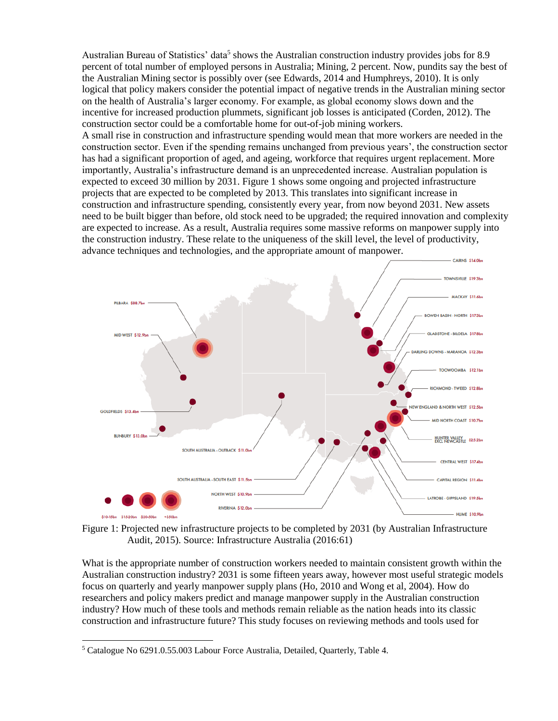Australian Bureau of Statistics' data<sup>5</sup> shows the Australian construction industry provides jobs for 8.9 percent of total number of employed persons in Australia; Mining, 2 percent. Now, pundits say the best of the Australian Mining sector is possibly over (see Edwards, 2014 and Humphreys, 2010). It is only logical that policy makers consider the potential impact of negative trends in the Australian mining sector on the health of Australia's larger economy. For example, as global economy slows down and the incentive for increased production plummets, significant job losses is anticipated (Corden, 2012). The construction sector could be a comfortable home for out-of-job mining workers.

A small rise in construction and infrastructure spending would mean that more workers are needed in the construction sector. Even if the spending remains unchanged from previous years', the construction sector has had a significant proportion of aged, and ageing, workforce that requires urgent replacement. More importantly, Australia's infrastructure demand is an unprecedented increase. Australian population is expected to exceed 30 million by 2031. Figure 1 shows some ongoing and projected infrastructure projects that are expected to be completed by 2013. This translates into significant increase in construction and infrastructure spending, consistently every year, from now beyond 2031. New assets need to be built bigger than before, old stock need to be upgraded; the required innovation and complexity are expected to increase. As a result, Australia requires some massive reforms on manpower supply into the construction industry. These relate to the uniqueness of the skill level, the level of productivity, advance techniques and technologies, and the appropriate amount of manpower. CAIRNS \$14.0bn



Figure 1: Projected new infrastructure projects to be completed by 2031 (by Australian Infrastructure Audit, 2015). Source: Infrastructure Australia (2016:61)

What is the appropriate number of construction workers needed to maintain consistent growth within the Australian construction industry? 2031 is some fifteen years away, however most useful strategic models focus on quarterly and yearly manpower supply plans (Ho, 2010 and Wong et al, 2004). How do researchers and policy makers predict and manage manpower supply in the Australian construction industry? How much of these tools and methods remain reliable as the nation heads into its classic construction and infrastructure future? This study focuses on reviewing methods and tools used for

 $\overline{\phantom{a}}$ 

<sup>5</sup> Catalogue No 6291.0.55.003 Labour Force Australia, Detailed, Quarterly, Table 4.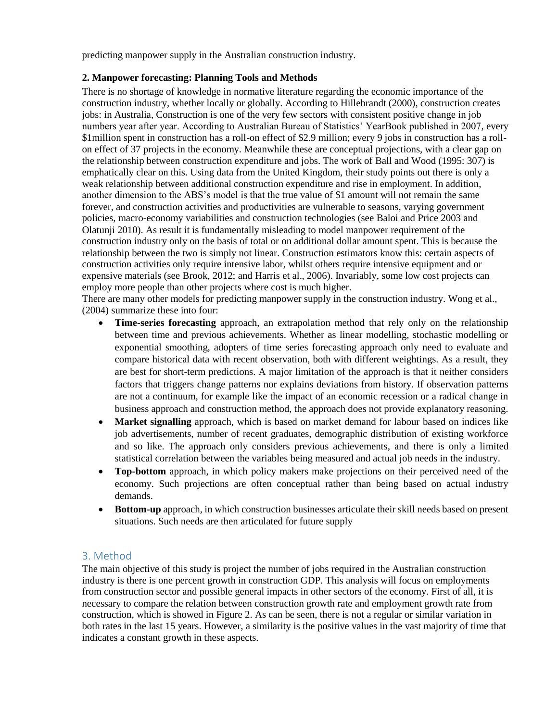predicting manpower supply in the Australian construction industry.

## **2. Manpower forecasting: Planning Tools and Methods**

There is no shortage of knowledge in normative literature regarding the economic importance of the construction industry, whether locally or globally. According to Hillebrandt (2000), construction creates jobs: in Australia, Construction is one of the very few sectors with consistent positive change in job numbers year after year. According to Australian Bureau of Statistics' YearBook published in 2007, every \$1million spent in construction has a roll-on effect of \$2.9 million; every 9 jobs in construction has a rollon effect of 37 projects in the economy. Meanwhile these are conceptual projections, with a clear gap on the relationship between construction expenditure and jobs. The work of Ball and Wood (1995: 307) is emphatically clear on this. Using data from the United Kingdom, their study points out there is only a weak relationship between additional construction expenditure and rise in employment. In addition, another dimension to the ABS's model is that the true value of \$1 amount will not remain the same forever, and construction activities and productivities are vulnerable to seasons, varying government policies, macro-economy variabilities and construction technologies (see Baloi and Price 2003 and Olatunji 2010). As result it is fundamentally misleading to model manpower requirement of the construction industry only on the basis of total or on additional dollar amount spent. This is because the relationship between the two is simply not linear. Construction estimators know this: certain aspects of construction activities only require intensive labor, whilst others require intensive equipment and or expensive materials (see Brook, 2012; and Harris et al., 2006). Invariably, some low cost projects can employ more people than other projects where cost is much higher.

There are many other models for predicting manpower supply in the construction industry. Wong et al., (2004) summarize these into four:

- **Time-series forecasting** approach, an extrapolation method that rely only on the relationship between time and previous achievements. Whether as linear modelling, stochastic modelling or exponential smoothing, adopters of time series forecasting approach only need to evaluate and compare historical data with recent observation, both with different weightings. As a result, they are best for short-term predictions. A major limitation of the approach is that it neither considers factors that triggers change patterns nor explains deviations from history. If observation patterns are not a continuum, for example like the impact of an economic recession or a radical change in business approach and construction method, the approach does not provide explanatory reasoning.
- **Market signalling** approach, which is based on market demand for labour based on indices like job advertisements, number of recent graduates, demographic distribution of existing workforce and so like. The approach only considers previous achievements, and there is only a limited statistical correlation between the variables being measured and actual job needs in the industry.
- **Top-bottom** approach, in which policy makers make projections on their perceived need of the economy. Such projections are often conceptual rather than being based on actual industry demands.
- **Bottom-up** approach, in which construction businesses articulate their skill needs based on present situations. Such needs are then articulated for future supply

# 3. Method

The main objective of this study is project the number of jobs required in the Australian construction industry is there is one percent growth in construction GDP. This analysis will focus on employments from construction sector and possible general impacts in other sectors of the economy. First of all, it is necessary to compare the relation between construction growth rate and employment growth rate from construction, which is showed in Figure 2. As can be seen, there is not a regular or similar variation in both rates in the last 15 years. However, a similarity is the positive values in the vast majority of time that indicates a constant growth in these aspects.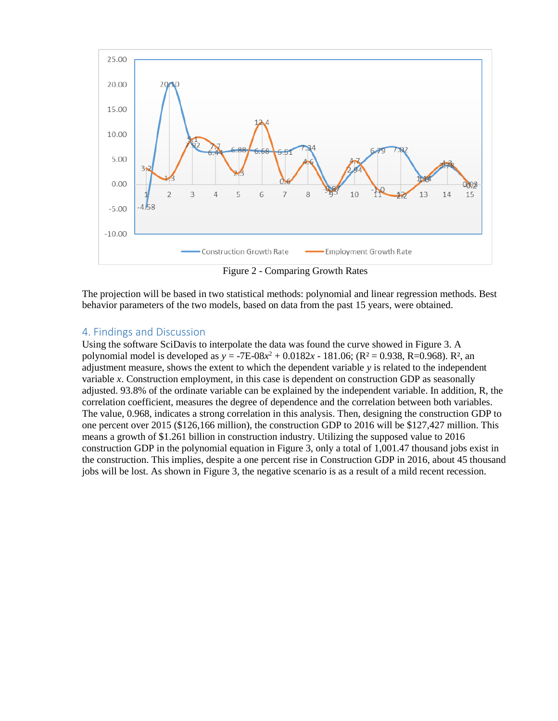

Figure 2 - Comparing Growth Rates

The projection will be based in two statistical methods: polynomial and linear regression methods. Best behavior parameters of the two models, based on data from the past 15 years, were obtained.

## 4. Findings and Discussion

Using the software SciDavis to interpolate the data was found the curve showed in Figure 3. A polynomial model is developed as  $y = -7E-08x^2 + 0.0182x - 181.06$ ; ( $R^2 = 0.938$ ,  $R = 0.968$ ).  $R^2$ , an adjustment measure, shows the extent to which the dependent variable *y* is related to the independent variable *x*. Construction employment, in this case is dependent on construction GDP as seasonally adjusted. 93.8% of the ordinate variable can be explained by the independent variable. In addition, R, the correlation coefficient, measures the degree of dependence and the correlation between both variables. The value, 0.968, indicates a strong correlation in this analysis. Then, designing the construction GDP to one percent over 2015 (\$126,166 million), the construction GDP to 2016 will be \$127,427 million. This means a growth of \$1.261 billion in construction industry. Utilizing the supposed value to 2016 construction GDP in the polynomial equation in Figure 3, only a total of 1,001.47 thousand jobs exist in the construction. This implies, despite a one percent rise in Construction GDP in 2016, about 45 thousand jobs will be lost. As shown in Figure 3, the negative scenario is as a result of a mild recent recession.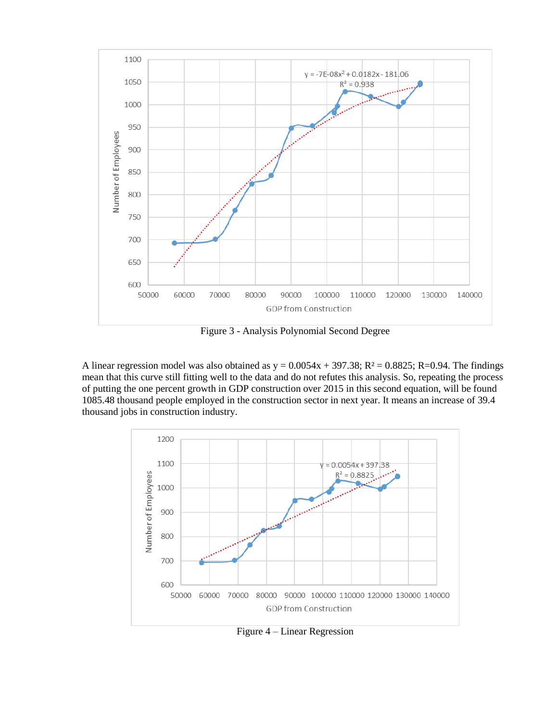

Figure 3 - Analysis Polynomial Second Degree

A linear regression model was also obtained as  $y = 0.0054x + 397.38$ ;  $R^2 = 0.8825$ ; R=0.94. The findings mean that this curve still fitting well to the data and do not refutes this analysis. So, repeating the process of putting the one percent growth in GDP construction over 2015 in this second equation, will be found 1085.48 thousand people employed in the construction sector in next year. It means an increase of 39.4 thousand jobs in construction industry.



Figure 4 – Linear Regression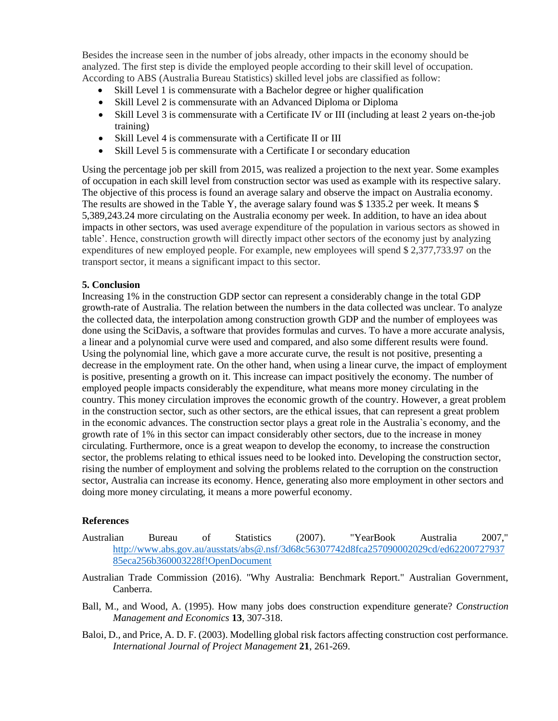Besides the increase seen in the number of jobs already, other impacts in the economy should be analyzed. The first step is divide the employed people according to their skill level of occupation. According to ABS (Australia Bureau Statistics) skilled level jobs are classified as follow:

- Skill Level 1 is commensurate with a Bachelor degree or higher qualification
- Skill Level 2 is commensurate with an Advanced Diploma or Diploma
- Skill Level 3 is commensurate with a Certificate IV or III (including at least 2 years on-the-job training)
- Skill Level 4 is commensurate with a Certificate II or III
- Skill Level 5 is commensurate with a Certificate I or secondary education

Using the percentage job per skill from 2015, was realized a projection to the next year. Some examples of occupation in each skill level from construction sector was used as example with its respective salary. The objective of this process is found an average salary and observe the impact on Australia economy. The results are showed in the Table Y, the average salary found was \$ 1335.2 per week. It means \$ 5,389,243.24 more circulating on the Australia economy per week. In addition, to have an idea about impacts in other sectors, was used average expenditure of the population in various sectors as showed in table'. Hence, construction growth will directly impact other sectors of the economy just by analyzing expenditures of new employed people. For example, new employees will spend \$ 2,377,733.97 on the transport sector, it means a significant impact to this sector.

## **5. Conclusion**

Increasing 1% in the construction GDP sector can represent a considerably change in the total GDP growth-rate of Australia. The relation between the numbers in the data collected was unclear. To analyze the collected data, the interpolation among construction growth GDP and the number of employees was done using the SciDavis, a software that provides formulas and curves. To have a more accurate analysis, a linear and a polynomial curve were used and compared, and also some different results were found. Using the polynomial line, which gave a more accurate curve, the result is not positive, presenting a decrease in the employment rate. On the other hand, when using a linear curve, the impact of employment is positive, presenting a growth on it. This increase can impact positively the economy. The number of employed people impacts considerably the expenditure, what means more money circulating in the country. This money circulation improves the economic growth of the country. However, a great problem in the construction sector, such as other sectors, are the ethical issues, that can represent a great problem in the economic advances. The construction sector plays a great role in the Australia`s economy, and the growth rate of 1% in this sector can impact considerably other sectors, due to the increase in money circulating. Furthermore, once is a great weapon to develop the economy, to increase the construction sector, the problems relating to ethical issues need to be looked into. Developing the construction sector, rising the number of employment and solving the problems related to the corruption on the construction sector, Australia can increase its economy. Hence, generating also more employment in other sectors and doing more money circulating, it means a more powerful economy.

### **References**

- Australian Bureau of Statistics (2007). "YearBook Australia 2007," [http://www.abs.gov.au/ausstats/abs@.nsf/3d68c56307742d8fca257090002029cd/ed62200727937](http://www.abs.gov.au/ausstats/abs@.nsf/3d68c56307742d8fca257090002029cd/ed6220072793785eca256b360003228f!OpenDocument) [85eca256b360003228f!OpenDocument](http://www.abs.gov.au/ausstats/abs@.nsf/3d68c56307742d8fca257090002029cd/ed6220072793785eca256b360003228f!OpenDocument)
- Australian Trade Commission (2016). "Why Australia: Benchmark Report." Australian Government, Canberra.
- Ball, M., and Wood, A. (1995). How many jobs does construction expenditure generate? *Construction Management and Economics* **13**, 307-318.
- Baloi, D., and Price, A. D. F. (2003). Modelling global risk factors affecting construction cost performance. *International Journal of Project Management* **21**, 261-269.